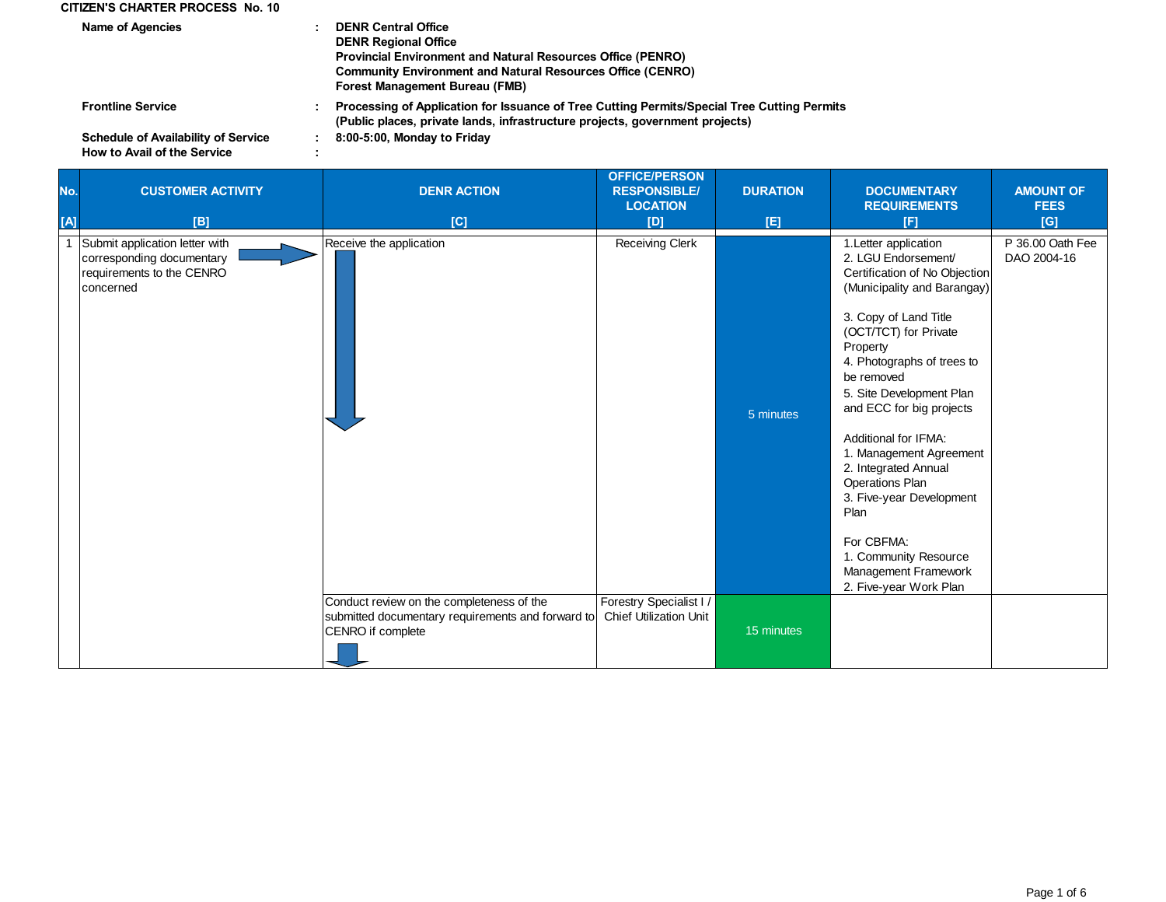## **CITIZEN'S CHARTER PROCESS No. 10**

| <b>Name of Agencies</b>                                                          | <b>DENR Central Office</b><br><b>DENR Regional Office</b><br><b>Provincial Environment and Natural Resources Office (PENRO)</b><br><b>Community Environment and Natural Resources Office (CENRO)</b><br>Forest Management Bureau (FMB) |  |
|----------------------------------------------------------------------------------|----------------------------------------------------------------------------------------------------------------------------------------------------------------------------------------------------------------------------------------|--|
| <b>Frontline Service</b>                                                         | Processing of Application for Issuance of Tree Cutting Permits/Special Tree Cutting Permits<br>(Public places, private lands, infrastructure projects, government projects)                                                            |  |
| <b>Schedule of Availability of Service</b><br><b>How to Avail of the Service</b> | 8:00-5:00, Monday to Friday                                                                                                                                                                                                            |  |

## **How to Avail of the Service**

| No.<br>[A] | <b>CUSTOMER ACTIVITY</b><br><b>[B]</b>                                                                | <b>DENR ACTION</b><br>[C]                                                                                           | <b>OFFICE/PERSON</b><br><b>RESPONSIBLE/</b><br><b>LOCATION</b><br>[D] | <b>DURATION</b><br>[E] | <b>DOCUMENTARY</b><br><b>REQUIREMENTS</b><br>[F]                                                                                                                                                                                                                                                                                                                                                                                                                                                                 | <b>AMOUNT OF</b><br><b>FEES</b><br>[G] |
|------------|-------------------------------------------------------------------------------------------------------|---------------------------------------------------------------------------------------------------------------------|-----------------------------------------------------------------------|------------------------|------------------------------------------------------------------------------------------------------------------------------------------------------------------------------------------------------------------------------------------------------------------------------------------------------------------------------------------------------------------------------------------------------------------------------------------------------------------------------------------------------------------|----------------------------------------|
|            | Submit application letter with<br>corresponding documentary<br>requirements to the CENRO<br>concerned | Receive the application                                                                                             | <b>Receiving Clerk</b>                                                | 5 minutes              | 1. Letter application<br>2. LGU Endorsement/<br>Certification of No Objection<br>(Municipality and Barangay)<br>3. Copy of Land Title<br>(OCT/TCT) for Private<br>Property<br>4. Photographs of trees to<br>be removed<br>5. Site Development Plan<br>and ECC for big projects<br>Additional for IFMA:<br>1. Management Agreement<br>2. Integrated Annual<br><b>Operations Plan</b><br>3. Five-year Development<br>Plan<br>For CBFMA:<br>1. Community Resource<br>Management Framework<br>2. Five-year Work Plan | P 36.00 Oath Fee<br>DAO 2004-16        |
|            |                                                                                                       | Conduct review on the completeness of the<br>submitted documentary requirements and forward to<br>CENRO if complete | Forestry Specialist I /<br><b>Chief Utilization Unit</b>              | 15 minutes             |                                                                                                                                                                                                                                                                                                                                                                                                                                                                                                                  |                                        |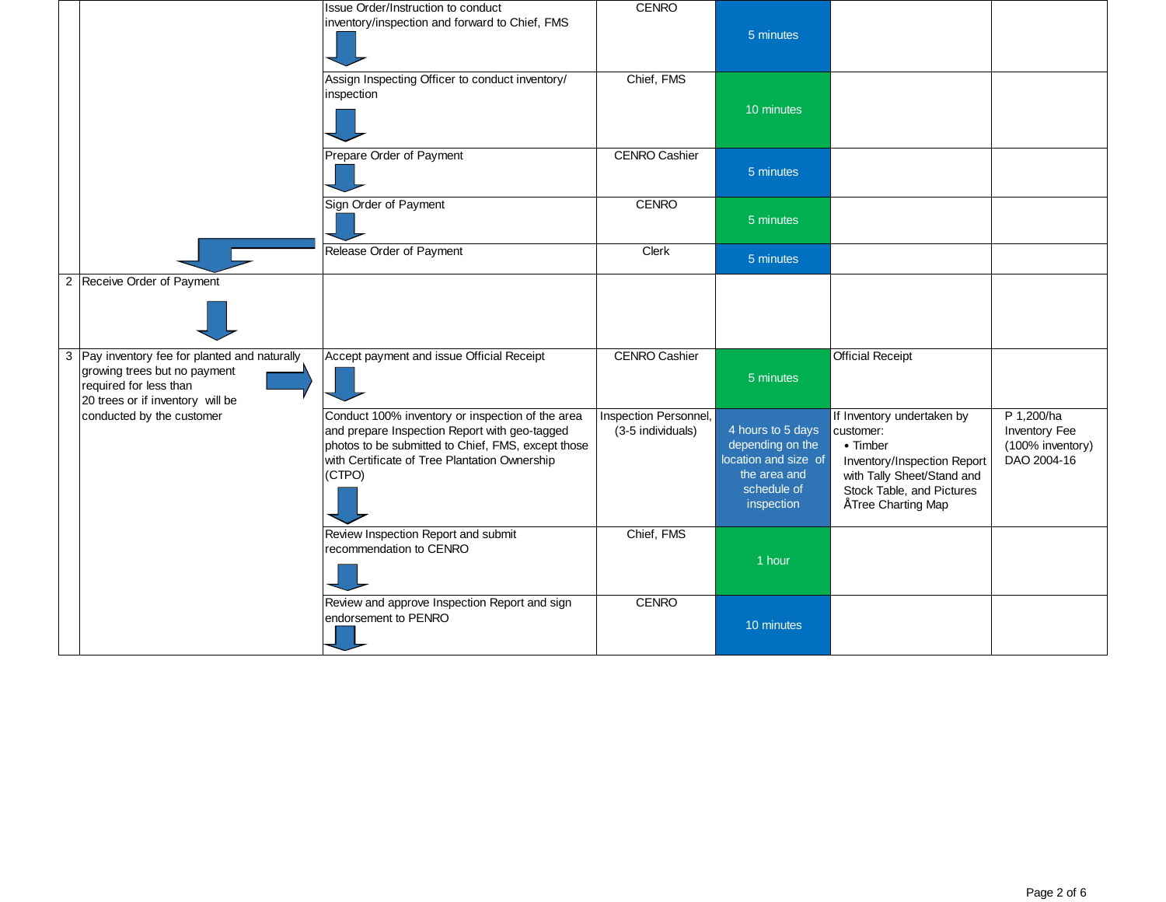|                                                                                                                                             | Issue Order/Instruction to conduct<br>inventory/inspection and forward to Chief, FMS                                                                                                                               | <b>CENRO</b>                               | 5 minutes                                                                                                  |                                                                                                                                                                              |                                                                |
|---------------------------------------------------------------------------------------------------------------------------------------------|--------------------------------------------------------------------------------------------------------------------------------------------------------------------------------------------------------------------|--------------------------------------------|------------------------------------------------------------------------------------------------------------|------------------------------------------------------------------------------------------------------------------------------------------------------------------------------|----------------------------------------------------------------|
|                                                                                                                                             | Assign Inspecting Officer to conduct inventory/<br>inspection                                                                                                                                                      | Chief, FMS                                 | 10 minutes                                                                                                 |                                                                                                                                                                              |                                                                |
|                                                                                                                                             | Prepare Order of Payment                                                                                                                                                                                           | <b>CENRO Cashier</b>                       | 5 minutes                                                                                                  |                                                                                                                                                                              |                                                                |
|                                                                                                                                             | Sign Order of Payment                                                                                                                                                                                              | <b>CENRO</b>                               | 5 minutes                                                                                                  |                                                                                                                                                                              |                                                                |
|                                                                                                                                             | Release Order of Payment                                                                                                                                                                                           | Clerk                                      | 5 minutes                                                                                                  |                                                                                                                                                                              |                                                                |
| 2 Receive Order of Payment                                                                                                                  |                                                                                                                                                                                                                    |                                            |                                                                                                            |                                                                                                                                                                              |                                                                |
| 3 Pay inventory fee for planted and naturally<br>growing trees but no payment<br>required for less than<br>20 trees or if inventory will be | Accept payment and issue Official Receipt                                                                                                                                                                          | <b>CENRO Cashier</b>                       | 5 minutes                                                                                                  | <b>Official Receipt</b>                                                                                                                                                      |                                                                |
| conducted by the customer                                                                                                                   | Conduct 100% inventory or inspection of the area<br>and prepare Inspection Report with geo-tagged<br>photos to be submitted to Chief, FMS, except those<br>with Certificate of Tree Plantation Ownership<br>(CTPO) | Inspection Personnel,<br>(3-5 individuals) | 4 hours to 5 days<br>depending on the<br>location and size of<br>the area and<br>schedule of<br>inspection | If Inventory undertaken by<br>customer:<br>$\bullet$ Timber<br>Inventory/Inspection Report<br>with Tally Sheet/Stand and<br>Stock Table, and Pictures<br>" Tree Charting Map | P 1,200/ha<br>Inventory Fee<br>(100% inventory)<br>DAO 2004-16 |
|                                                                                                                                             | Review Inspection Report and submit<br>recommendation to CENRO                                                                                                                                                     | Chief, FMS                                 | 1 hour                                                                                                     |                                                                                                                                                                              |                                                                |
|                                                                                                                                             | Review and approve Inspection Report and sign<br>endorsement to PENRO                                                                                                                                              | <b>CENRO</b>                               | 10 minutes                                                                                                 |                                                                                                                                                                              |                                                                |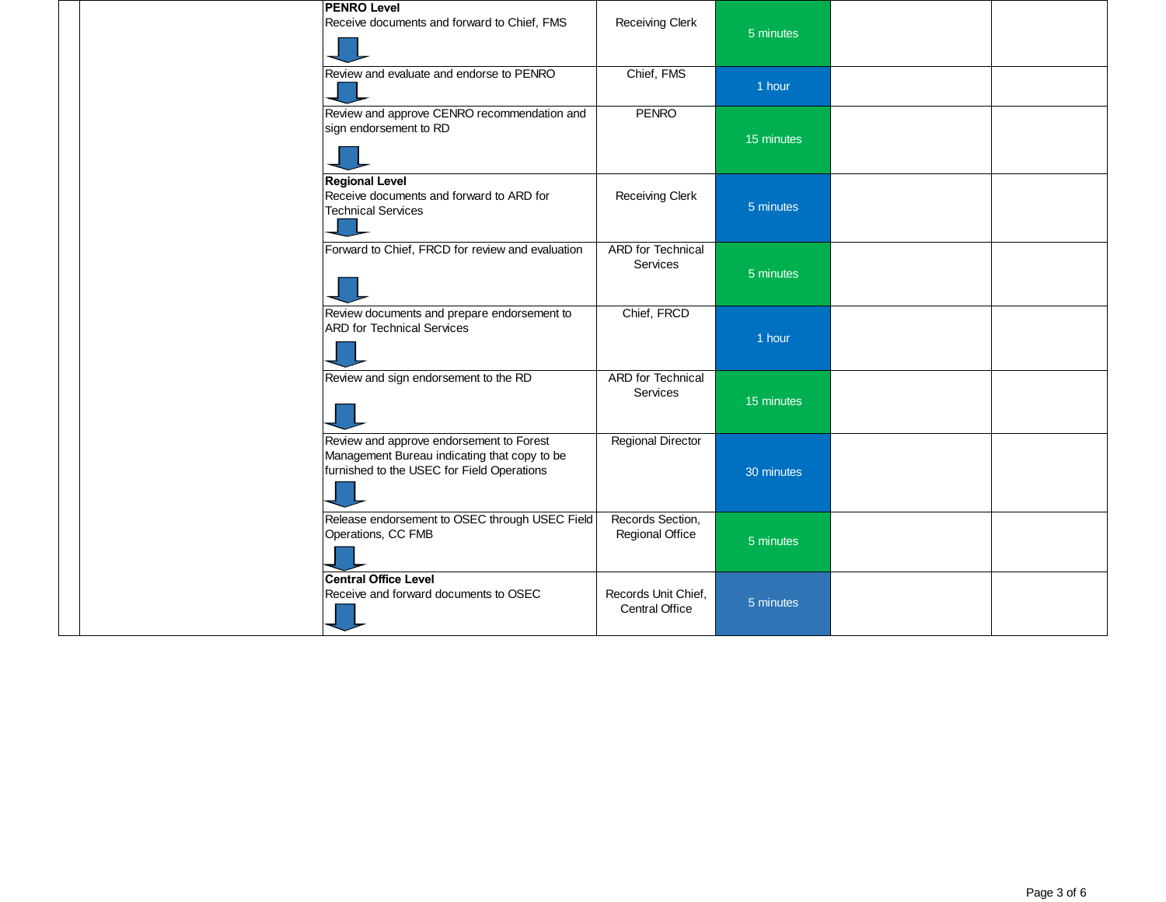| <b>PENRO Level</b>                                                                                                                     |                                              |            |  |
|----------------------------------------------------------------------------------------------------------------------------------------|----------------------------------------------|------------|--|
| Receive documents and forward to Chief, FMS                                                                                            | <b>Receiving Clerk</b>                       | 5 minutes  |  |
| Review and evaluate and endorse to PENRO                                                                                               | Chief, FMS                                   | 1 hour     |  |
| Review and approve CENRO recommendation and<br>sign endorsement to RD                                                                  | <b>PENRO</b>                                 | 15 minutes |  |
| <b>Regional Level</b><br>Receive documents and forward to ARD for<br><b>Technical Services</b>                                         | Receiving Clerk                              | 5 minutes  |  |
| Forward to Chief, FRCD for review and evaluation                                                                                       | ARD for Technical<br><b>Services</b>         | 5 minutes  |  |
| Review documents and prepare endorsement to<br><b>ARD for Technical Services</b>                                                       | Chief, FRCD                                  | 1 hour     |  |
| Review and sign endorsement to the RD                                                                                                  | <b>ARD</b> for Technical<br>Services         | 15 minutes |  |
| Review and approve endorsement to Forest<br>Management Bureau indicating that copy to be<br>furnished to the USEC for Field Operations | <b>Regional Director</b>                     | 30 minutes |  |
| Release endorsement to OSEC through USEC Field<br>Operations, CC FMB                                                                   | Records Section,<br>Regional Office          | 5 minutes  |  |
| <b>Central Office Level</b><br>Receive and forward documents to OSEC                                                                   | Records Unit Chief,<br><b>Central Office</b> | 5 minutes  |  |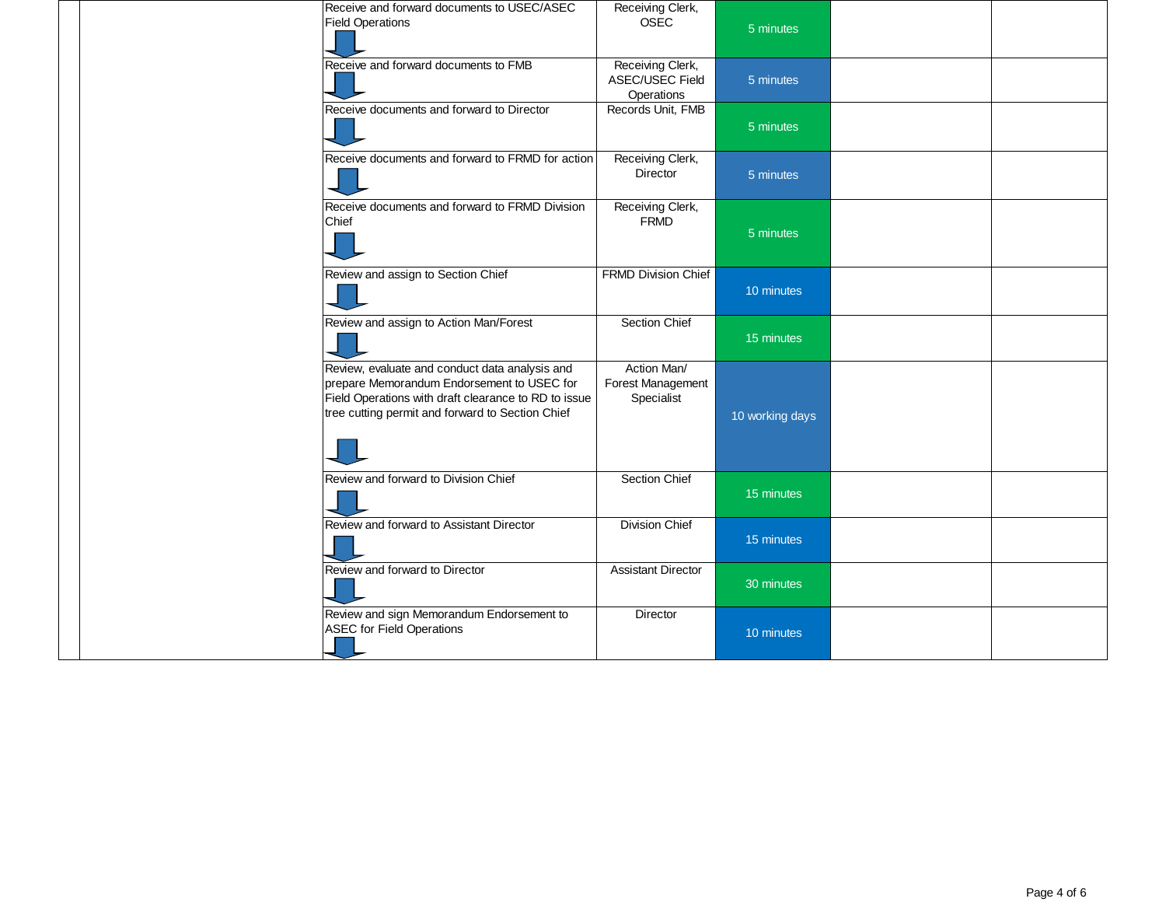| Receive and forward documents to USEC/ASEC<br><b>Field Operations</b>                                                                                                                                    | Receiving Clerk,<br><b>OSEC</b>                   | 5 minutes       |  |
|----------------------------------------------------------------------------------------------------------------------------------------------------------------------------------------------------------|---------------------------------------------------|-----------------|--|
| Receive and forward documents to FMB                                                                                                                                                                     | Receiving Clerk,<br>ASEC/USEC Field<br>Operations | 5 minutes       |  |
| Receive documents and forward to Director                                                                                                                                                                | Records Unit, FMB                                 | 5 minutes       |  |
| Receive documents and forward to FRMD for action                                                                                                                                                         | Receiving Clerk,<br><b>Director</b>               | 5 minutes       |  |
| Receive documents and forward to FRMD Division<br>Chief                                                                                                                                                  | Receiving Clerk,<br><b>FRMD</b>                   | 5 minutes       |  |
| Review and assign to Section Chief                                                                                                                                                                       | FRMD Division Chief                               | 10 minutes      |  |
| Review and assign to Action Man/Forest                                                                                                                                                                   | Section Chief                                     | 15 minutes      |  |
| Review, evaluate and conduct data analysis and<br>prepare Memorandum Endorsement to USEC for<br>Field Operations with draft clearance to RD to issue<br>tree cutting permit and forward to Section Chief | Action Man/<br>Forest Management<br>Specialist    | 10 working days |  |
| Review and forward to Division Chief                                                                                                                                                                     | Section Chief                                     | 15 minutes      |  |
| Review and forward to Assistant Director                                                                                                                                                                 | <b>Division Chief</b>                             | 15 minutes      |  |
| Review and forward to Director                                                                                                                                                                           | <b>Assistant Director</b>                         | 30 minutes      |  |
| Review and sign Memorandum Endorsement to<br><b>ASEC for Field Operations</b>                                                                                                                            | Director                                          | 10 minutes      |  |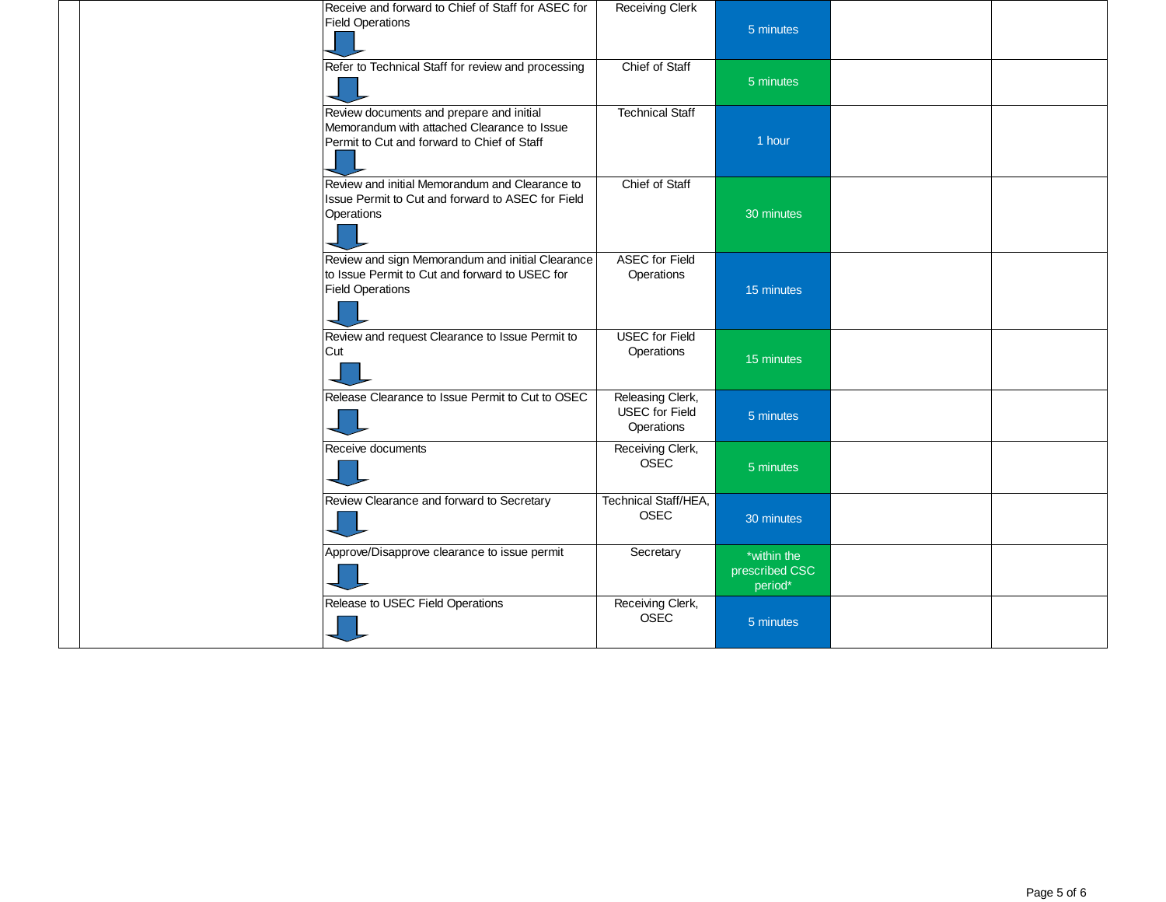| Receive and forward to Chief of Staff for ASEC for<br><b>Field Operations</b>                                                          | <b>Receiving Clerk</b>                                  | 5 minutes                                |  |
|----------------------------------------------------------------------------------------------------------------------------------------|---------------------------------------------------------|------------------------------------------|--|
| Refer to Technical Staff for review and processing                                                                                     | Chief of Staff                                          | 5 minutes                                |  |
| Review documents and prepare and initial<br>Memorandum with attached Clearance to Issue<br>Permit to Cut and forward to Chief of Staff | <b>Technical Staff</b>                                  | 1 hour                                   |  |
| Review and initial Memorandum and Clearance to<br>Issue Permit to Cut and forward to ASEC for Field<br>Operations                      | Chief of Staff                                          | 30 minutes                               |  |
| Review and sign Memorandum and initial Clearance<br>to Issue Permit to Cut and forward to USEC for<br><b>Field Operations</b>          | <b>ASEC for Field</b><br>Operations                     | 15 minutes                               |  |
| Review and request Clearance to Issue Permit to<br>Cut                                                                                 | <b>USEC</b> for Field<br>Operations                     | 15 minutes                               |  |
| Release Clearance to Issue Permit to Cut to OSEC                                                                                       | Releasing Clerk,<br><b>USEC</b> for Field<br>Operations | 5 minutes                                |  |
| Receive documents                                                                                                                      | Receiving Clerk,<br><b>OSEC</b>                         | 5 minutes                                |  |
| Review Clearance and forward to Secretary                                                                                              | Technical Staff/HEA,<br><b>OSEC</b>                     | 30 minutes                               |  |
| Approve/Disapprove clearance to issue permit                                                                                           | Secretary                                               | *within the<br>prescribed CSC<br>period* |  |
| Release to USEC Field Operations                                                                                                       | Receiving Clerk,<br><b>OSEC</b>                         | 5 minutes                                |  |